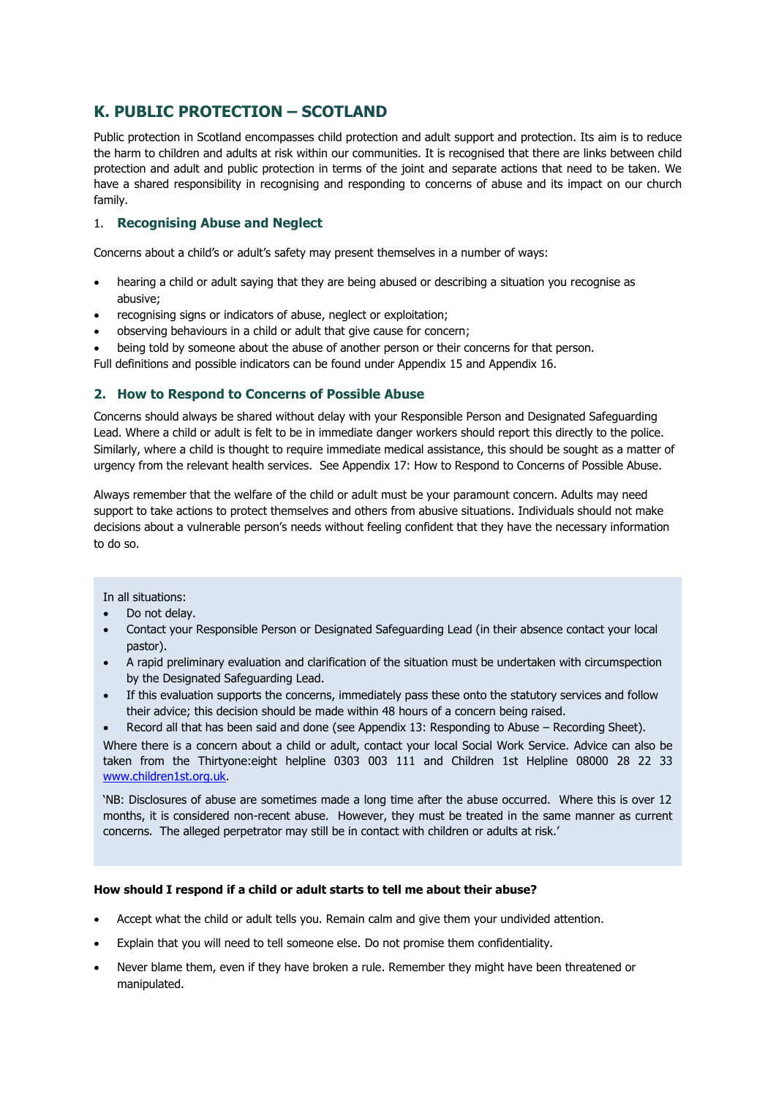# **K. PUBLIC PROTECTION – SCOTLAND**

Public protection in Scotland encompasses child protection and adult support and protection. Its aim is to reduce the harm to children and adults at risk within our communities. It is recognised that there are links between child protection and adult and public protection in terms of the joint and separate actions that need to be taken. We have a shared responsibility in recognising and responding to concerns of abuse and its impact on our church family.

## 1. **Recognising Abuse and Neglect**

Concerns about a child's or adult's safety may present themselves in a number of ways:

- hearing a child or adult saying that they are being abused or describing a situation you recognise as abusive;
- recognising signs or indicators of abuse, neglect or exploitation;
- observing behaviours in a child or adult that give cause for concern;
- being told by someone about the abuse of another person or their concerns for that person.

Full definitions and possible indicators can be found under Appendix 15 and Appendix 16.

# **2. How to Respond to Concerns of Possible Abuse**

Concerns should always be shared without delay with your Responsible Person and Designated Safeguarding Lead. Where a child or adult is felt to be in immediate danger workers should report this directly to the police. Similarly, where a child is thought to require immediate medical assistance, this should be sought as a matter of urgency from the relevant health services. See Appendix 17: How to Respond to Concerns of Possible Abuse.

Always remember that the welfare of the child or adult must be your paramount concern. Adults may need support to take actions to protect themselves and others from abusive situations. Individuals should not make decisions about a vulnerable person's needs without feeling confident that they have the necessary information to do so.

#### In all situations:

- Do not delay.
- Contact your Responsible Person or Designated Safeguarding Lead (in their absence contact your local pastor).
- A rapid preliminary evaluation and clarification of the situation must be undertaken with circumspection by the Designated Safeguarding Lead.
- If this evaluation supports the concerns, immediately pass these onto the statutory services and follow their advice; this decision should be made within 48 hours of a concern being raised.
- Record all that has been said and done (see Appendix 13: Responding to Abuse Recording Sheet).

Where there is a concern about a child or adult, contact your local Social Work Service. Advice can also be taken from the Thirtyone:eight helpline 0303 003 111 and Children 1st Helpline 08000 28 22 33 [www.children1st.org.uk.](http://www.children1st.org.uk/)

'NB: Disclosures of abuse are sometimes made a long time after the abuse occurred. Where this is over 12 months, it is considered non-recent abuse. However, they must be treated in the same manner as current concerns. The alleged perpetrator may still be in contact with children or adults at risk.'

## **How should I respond if a child or adult starts to tell me about their abuse?**

- Accept what the child or adult tells you. Remain calm and give them your undivided attention.
- Explain that you will need to tell someone else. Do not promise them confidentiality.
- Never blame them, even if they have broken a rule. Remember they might have been threatened or manipulated.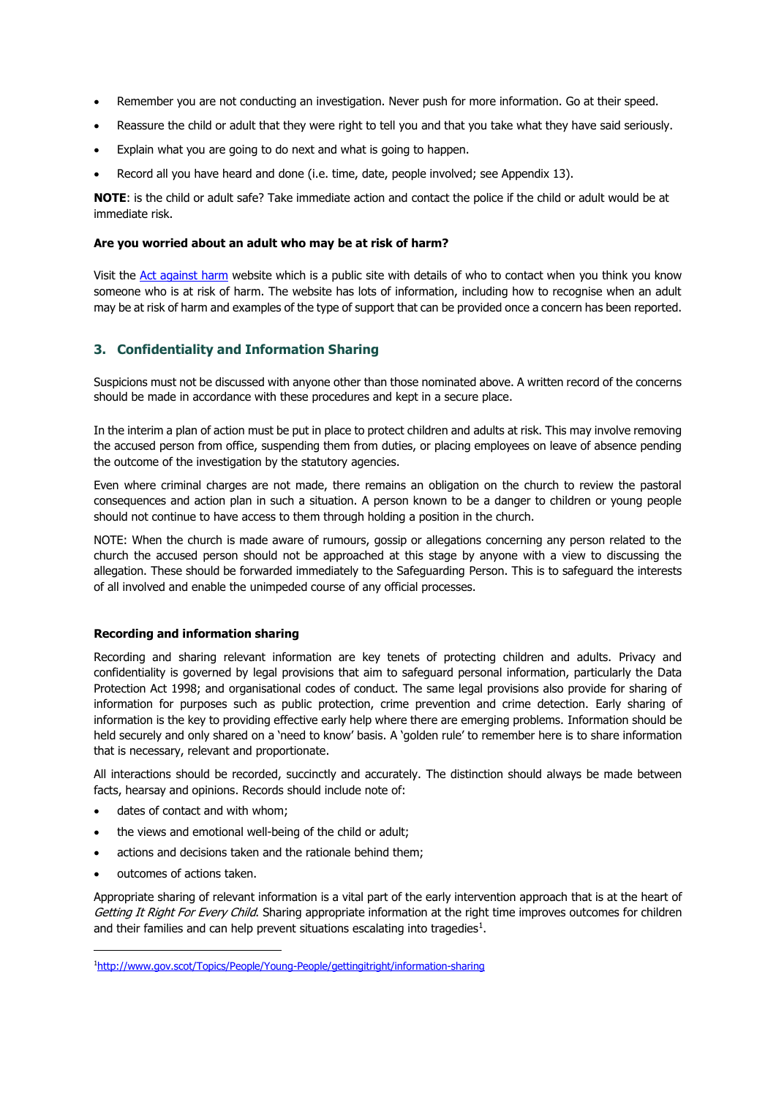- Remember you are not conducting an investigation. Never push for more information. Go at their speed.
- Reassure the child or adult that they were right to tell you and that you take what they have said seriously.
- Explain what you are going to do next and what is going to happen.
- Record all you have heard and done (i.e. time, date, people involved; see Appendix 13).

**NOTE**: is the child or adult safe? Take immediate action and contact the police if the child or adult would be at immediate risk.

#### **Are you worried about an adult who may be at risk of harm?**

Visit the [Act against harm](http://www.actagainstharm.org/) website which is a public site with details of who to contact when you think you know someone who is at risk of harm. The website has lots of information, including how to recognise when an adult may be at risk of harm and examples of the type of support that can be provided once a concern has been reported.

## **3. Confidentiality and Information Sharing**

Suspicions must not be discussed with anyone other than those nominated above. A written record of the concerns should be made in accordance with these procedures and kept in a secure place.

In the interim a plan of action must be put in place to protect children and adults at risk. This may involve removing the accused person from office, suspending them from duties, or placing employees on leave of absence pending the outcome of the investigation by the statutory agencies.

Even where criminal charges are not made, there remains an obligation on the church to review the pastoral consequences and action plan in such a situation. A person known to be a danger to children or young people should not continue to have access to them through holding a position in the church.

NOTE: When the church is made aware of rumours, gossip or allegations concerning any person related to the church the accused person should not be approached at this stage by anyone with a view to discussing the allegation. These should be forwarded immediately to the Safeguarding Person. This is to safeguard the interests of all involved and enable the unimpeded course of any official processes.

### **Recording and information sharing**

Recording and sharing relevant information are key tenets of protecting children and adults. Privacy and confidentiality is governed by legal provisions that aim to safeguard personal information, particularly the Data Protection Act 1998; and organisational codes of conduct. The same legal provisions also provide for sharing of information for purposes such as public protection, crime prevention and crime detection. Early sharing of information is the key to providing effective early help where there are emerging problems. Information should be held securely and only shared on a 'need to know' basis. A 'golden rule' to remember here is to share information that is necessary, relevant and proportionate.

All interactions should be recorded, succinctly and accurately. The distinction should always be made between facts, hearsay and opinions. Records should include note of:

- dates of contact and with whom;
- the views and emotional well-being of the child or adult;
- actions and decisions taken and the rationale behind them;
- outcomes of actions taken.

Appropriate sharing of relevant information is a vital part of the early intervention approach that is at the heart of Getting It Right For Every Child. Sharing appropriate information at the right time improves outcomes for children and their families and can help prevent situations escalating into tragedies $<sup>1</sup>$ .</sup>

<sup>1</sup><http://www.gov.scot/Topics/People/Young-People/gettingitright/information-sharing>